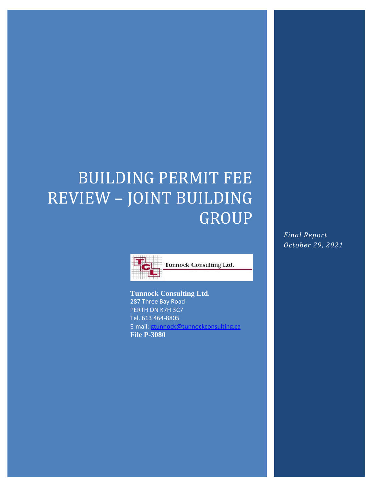# BUILDING PERMIT FEE REVIEW – JOINT BUILDING GROUP



**Tunnock Consulting Ltd.** 287 Three Bay Road PERTH ON K7H 3C7 Tel. 613 464-8805 E-mail: gtunnock@tunnockconsulting.ca **File P-3080**

*Final Report October 29, 2021*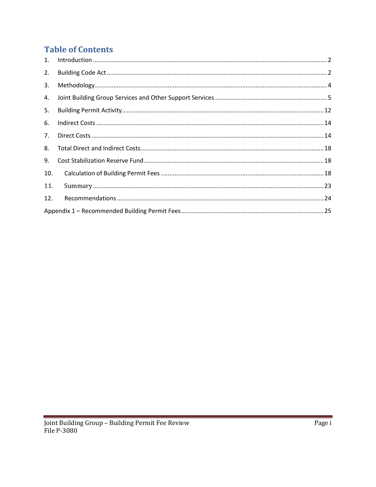# **Table of Contents**

| 2.  |  |
|-----|--|
| 3.  |  |
| 4.  |  |
| 5.  |  |
| 6.  |  |
| 7.  |  |
| 8.  |  |
| 9.  |  |
| 10. |  |
| 11. |  |
| 12. |  |
|     |  |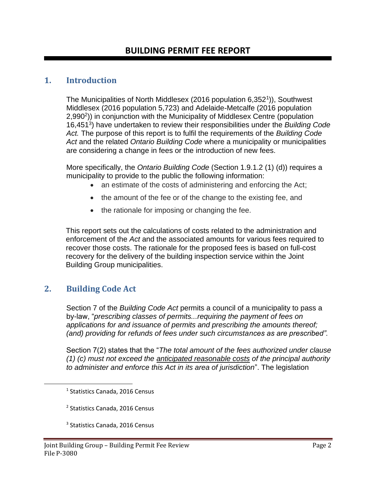## <span id="page-2-0"></span>**1. Introduction**

The Municipalities of North Middlesex (2016 population 6,352<sup>1</sup> )), Southwest Middlesex (2016 population 5,723) and Adelaide-Metcalfe (2016 population 2,990<sup>2</sup>)) in conjunction with the Municipality of Middlesex Centre (population 16,451<sup>3</sup> ) have undertaken to review their responsibilities under the *Building Code Act.* The purpose of this report is to fulfil the requirements of the *Building Code Act* and the related *Ontario Building Code* where a municipality or municipalities are considering a change in fees or the introduction of new fees.

More specifically, the *Ontario Building Code* (Section 1.9.1.2 (1) (d)) requires a municipality to provide to the public the following information:

- an estimate of the costs of administering and enforcing the Act;
- the amount of the fee or of the change to the existing fee, and
- the rationale for imposing or changing the fee.

This report sets out the calculations of costs related to the administration and enforcement of the *Act* and the associated amounts for various fees required to recover those costs. The rationale for the proposed fees is based on full-cost recovery for the delivery of the building inspection service within the Joint Building Group municipalities.

# <span id="page-2-1"></span>**2. Building Code Act**

Section 7 of the *Building Code Act* permits a council of a municipality to pass a by-law, "*prescribing classes of permits...requiring the payment of fees on applications for and issuance of permits and prescribing the amounts thereof; (and) providing for refunds of fees under such circumstances as are prescribed".*

Section 7(2) states that the "*The total amount of the fees authorized under clause (1) (c) must not exceed the anticipated reasonable costs of the principal authority to administer and enforce this Act in its area of jurisdiction*". The legislation

3 Statistics Canada, 2016 Census

<sup>&</sup>lt;sup>1</sup> Statistics Canada, 2016 Census

<sup>2</sup> Statistics Canada, 2016 Census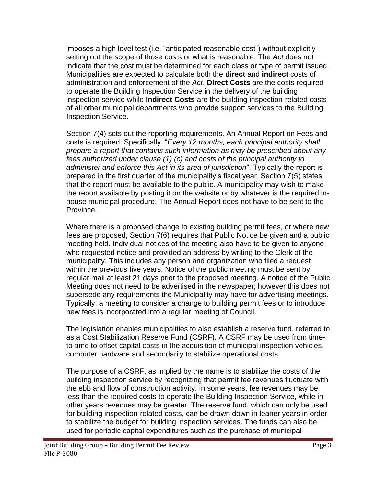imposes a high level test (i.e. "anticipated reasonable cost") without explicitly setting out the scope of those costs or what is reasonable. The *Act* does not indicate that the cost must be determined for each class or type of permit issued. Municipalities are expected to calculate both the **direct** and **indirect** costs of administration and enforcement of the *Act*. **Direct Costs** are the costs required to operate the Building Inspection Service in the delivery of the building inspection service while **Indirect Costs** are the building inspection-related costs of all other municipal departments who provide support services to the Building Inspection Service.

Section 7(4) sets out the reporting requirements. An Annual Report on Fees and costs is required. Specifically, "*Every 12 months, each principal authority shall prepare a report that contains such information as may be prescribed about any fees authorized under clause (1) (c) and costs of the principal authority to administer and enforce this Act in its area of jurisdiction*". Typically the report is prepared in the first quarter of the municipality's fiscal year. Section 7(5) states that the report must be available to the public. A municipality may wish to make the report available by posting it on the website or by whatever is the required inhouse municipal procedure. The Annual Report does not have to be sent to the Province.

Where there is a proposed change to existing building permit fees, or where new fees are proposed, Section 7(6) requires that Public Notice be given and a public meeting held. Individual notices of the meeting also have to be given to anyone who requested notice and provided an address by writing to the Clerk of the municipality. This includes any person and organization who filed a request within the previous five years. Notice of the public meeting must be sent by regular mail at least 21 days prior to the proposed meeting. A notice of the Public Meeting does not need to be advertised in the newspaper; however this does not supersede any requirements the Municipality may have for advertising meetings. Typically, a meeting to consider a change to building permit fees or to introduce new fees is incorporated into a regular meeting of Council.

The legislation enables municipalities to also establish a reserve fund, referred to as a Cost Stabilization Reserve Fund (CSRF). A CSRF may be used from timeto-time to offset capital costs in the acquisition of municipal inspection vehicles, computer hardware and secondarily to stabilize operational costs.

The purpose of a CSRF, as implied by the name is to stabilize the costs of the building inspection service by recognizing that permit fee revenues fluctuate with the ebb and flow of construction activity. In some years, fee revenues may be less than the required costs to operate the Building Inspection Service, while in other years revenues may be greater. The reserve fund, which can only be used for building inspection-related costs, can be drawn down in leaner years in order to stabilize the budget for building inspection services. The funds can also be used for periodic capital expenditures such as the purchase of municipal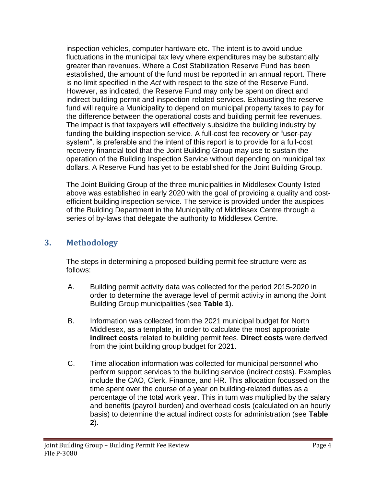inspection vehicles, computer hardware etc. The intent is to avoid undue fluctuations in the municipal tax levy where expenditures may be substantially greater than revenues. Where a Cost Stabilization Reserve Fund has been established, the amount of the fund must be reported in an annual report. There is no limit specified in the *Act* with respect to the size of the Reserve Fund. However, as indicated, the Reserve Fund may only be spent on direct and indirect building permit and inspection-related services. Exhausting the reserve fund will require a Municipality to depend on municipal property taxes to pay for the difference between the operational costs and building permit fee revenues. The impact is that taxpayers will effectively subsidize the building industry by funding the building inspection service. A full-cost fee recovery or "user-pay system", is preferable and the intent of this report is to provide for a full-cost recovery financial tool that the Joint Building Group may use to sustain the operation of the Building Inspection Service without depending on municipal tax dollars. A Reserve Fund has yet to be established for the Joint Building Group.

The Joint Building Group of the three municipalities in Middlesex County listed above was established in early 2020 with the goal of providing a quality and costefficient building inspection service. The service is provided under the auspices of the Building Department in the Municipality of Middlesex Centre through a series of by-laws that delegate the authority to Middlesex Centre.

# <span id="page-4-0"></span>**3. Methodology**

The steps in determining a proposed building permit fee structure were as follows:

- A. Building permit activity data was collected for the period 2015-2020 in order to determine the average level of permit activity in among the Joint Building Group municipalities (see **Table 1**).
- B. Information was collected from the 2021 municipal budget for North Middlesex, as a template, in order to calculate the most appropriate **indirect costs** related to building permit fees. **Direct costs** were derived from the joint building group budget for 2021.
- C. Time allocation information was collected for municipal personnel who perform support services to the building service (indirect costs). Examples include the CAO, Clerk, Finance, and HR. This allocation focussed on the time spent over the course of a year on building-related duties as a percentage of the total work year. This in turn was multiplied by the salary and benefits (payroll burden) and overhead costs (calculated on an hourly basis) to determine the actual indirect costs for administration (see **Table 2**)**.**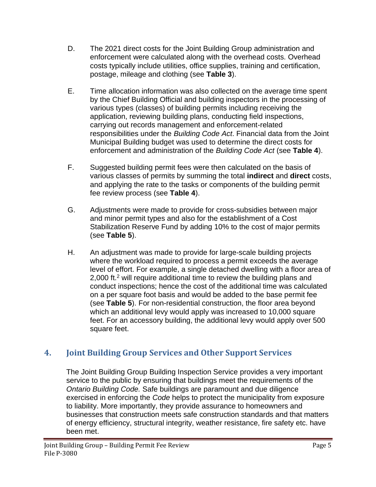- D. The 2021 direct costs for the Joint Building Group administration and enforcement were calculated along with the overhead costs. Overhead costs typically include utilities, office supplies, training and certification, postage, mileage and clothing (see **Table 3**).
- E. Time allocation information was also collected on the average time spent by the Chief Building Official and building inspectors in the processing of various types (classes) of building permits including receiving the application, reviewing building plans, conducting field inspections, carrying out records management and enforcement-related responsibilities under the *Building Code Act*. Financial data from the Joint Municipal Building budget was used to determine the direct costs for enforcement and administration of the *Building Code Act* (see **Table 4**).
- F. Suggested building permit fees were then calculated on the basis of various classes of permits by summing the total **indirect** and **direct** costs, and applying the rate to the tasks or components of the building permit fee review process (see **Table 4**).
- G. Adjustments were made to provide for cross-subsidies between major and minor permit types and also for the establishment of a Cost Stabilization Reserve Fund by adding 10% to the cost of major permits (see **Table 5**).
- H. An adjustment was made to provide for large-scale building projects where the workload required to process a permit exceeds the average level of effort. For example, a single detached dwelling with a floor area of 2,000 ft.<sup>2</sup> will require additional time to review the building plans and conduct inspections; hence the cost of the additional time was calculated on a per square foot basis and would be added to the base permit fee (see **Table 5**). For non-residential construction, the floor area beyond which an additional levy would apply was increased to 10,000 square feet. For an accessory building, the additional levy would apply over 500 square feet.

# <span id="page-5-0"></span>**4. Joint Building Group Services and Other Support Services**

The Joint Building Group Building Inspection Service provides a very important service to the public by ensuring that buildings meet the requirements of the *Ontario Building Code.* Safe buildings are paramount and due diligence exercised in enforcing the *Code* helps to protect the municipality from exposure to liability. More importantly, they provide assurance to homeowners and businesses that construction meets safe construction standards and that matters of energy efficiency, structural integrity, weather resistance, fire safety etc. have been met.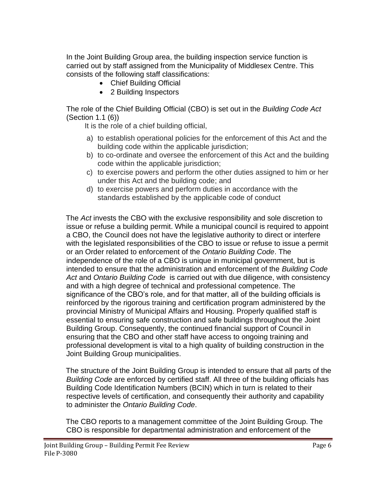In the Joint Building Group area, the building inspection service function is carried out by staff assigned from the Municipality of Middlesex Centre. This consists of the following staff classifications:

- Chief Building Official
- 2 Building Inspectors

The role of the Chief Building Official (CBO) is set out in the *Building Code Act* (Section 1.1 (6))

It is the role of a chief building official,

- a) to establish operational policies for the enforcement of this Act and the building code within the applicable jurisdiction;
- b) to co-ordinate and oversee the enforcement of this Act and the building code within the applicable jurisdiction;
- c) to exercise powers and perform the other duties assigned to him or her under this Act and the building code; and
- d) to exercise powers and perform duties in accordance with the standards established by the applicable code of conduct

The *Act* invests the CBO with the exclusive responsibility and sole discretion to issue or refuse a building permit. While a municipal council is required to appoint a CBO, the Council does not have the legislative authority to direct or interfere with the legislated responsibilities of the CBO to issue or refuse to issue a permit or an Order related to enforcement of the *Ontario Building Code*. The independence of the role of a CBO is unique in municipal government, but is intended to ensure that the administration and enforcement of the *Building Code Act* and *Ontario Building Code* is carried out with due diligence, with consistency and with a high degree of technical and professional competence. The significance of the CBO's role, and for that matter, all of the building officials is reinforced by the rigorous training and certification program administered by the provincial Ministry of Municipal Affairs and Housing. Properly qualified staff is essential to ensuring safe construction and safe buildings throughout the Joint Building Group. Consequently, the continued financial support of Council in ensuring that the CBO and other staff have access to ongoing training and professional development is vital to a high quality of building construction in the Joint Building Group municipalities.

The structure of the Joint Building Group is intended to ensure that all parts of the *Building Code* are enforced by certified staff. All three of the building officials has Building Code Identification Numbers (BCIN) which in turn is related to their respective levels of certification, and consequently their authority and capability to administer the *Ontario Building Code*.

The CBO reports to a management committee of the Joint Building Group. The CBO is responsible for departmental administration and enforcement of the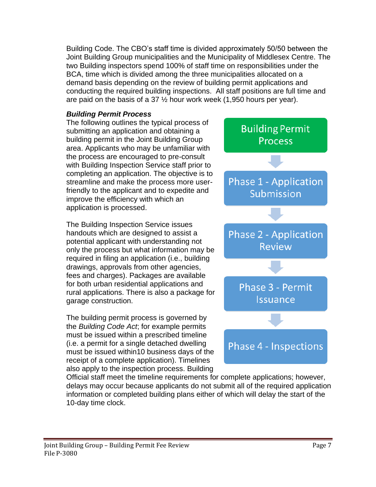Building Code. The CBO's staff time is divided approximately 50/50 between the Joint Building Group municipalities and the Municipality of Middlesex Centre. The two Building inspectors spend 100% of staff time on responsibilities under the BCA, time which is divided among the three municipalities allocated on a demand basis depending on the review of building permit applications and conducting the required building inspections. All staff positions are full time and are paid on the basis of a 37  $\frac{1}{2}$  hour work week (1,950 hours per year).

#### *Building Permit Process*

The following outlines the typical process of submitting an application and obtaining a building permit in the Joint Building Group area. Applicants who may be unfamiliar with the process are encouraged to pre-consult with Building Inspection Service staff prior to completing an application. The objective is to streamline and make the process more userfriendly to the applicant and to expedite and improve the efficiency with which an application is processed.

The Building Inspection Service issues handouts which are designed to assist a potential applicant with understanding not only the process but what information may be required in filing an application (i.e., building drawings, approvals from other agencies, fees and charges). Packages are available for both urban residential applications and rural applications. There is also a package for garage construction.

The building permit process is governed by the *Building Code Act*; for example permits must be issued within a prescribed timeline (i.e. a permit for a single detached dwelling must be issued within10 business days of the receipt of a complete application). Timelines also apply to the inspection process. Building



Official staff meet the timeline requirements for complete applications; however, delays may occur because applicants do not submit all of the required application information or completed building plans either of which will delay the start of the 10-day time clock.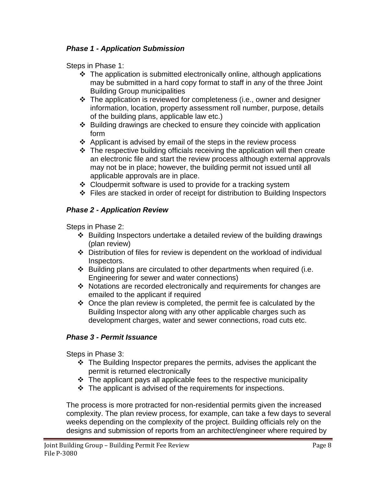### *Phase 1 - Application Submission*

Steps in Phase 1:

- ❖ The application is submitted electronically online, although applications may be submitted in a hard copy format to staff in any of the three Joint Building Group municipalities
- ❖ The application is reviewed for completeness (i.e., owner and designer information, location, property assessment roll number, purpose, details of the building plans, applicable law etc.)
- ❖ Building drawings are checked to ensure they coincide with application form
- ❖ Applicant is advised by email of the steps in the review process
- ❖ The respective building officials receiving the application will then create an electronic file and start the review process although external approvals may not be in place; however, the building permit not issued until all applicable approvals are in place.
- ❖ Cloudpermit software is used to provide for a tracking system
- ❖ Files are stacked in order of receipt for distribution to Building Inspectors

## *Phase 2 - Application Review*

Steps in Phase 2:

- ❖ Building Inspectors undertake a detailed review of the building drawings (plan review)
- ❖ Distribution of files for review is dependent on the workload of individual Inspectors.
- $\div$  Building plans are circulated to other departments when required (i.e. Engineering for sewer and water connections)
- ❖ Notations are recorded electronically and requirements for changes are emailed to the applicant if required
- ❖ Once the plan review is completed, the permit fee is calculated by the Building Inspector along with any other applicable charges such as development charges, water and sewer connections, road cuts etc.

## *Phase 3 - Permit Issuance*

Steps in Phase 3:

- ❖ The Building Inspector prepares the permits, advises the applicant the permit is returned electronically
- ❖ The applicant pays all applicable fees to the respective municipality
- ❖ The applicant is advised of the requirements for inspections.

The process is more protracted for non-residential permits given the increased complexity. The plan review process, for example, can take a few days to several weeks depending on the complexity of the project. Building officials rely on the designs and submission of reports from an architect/engineer where required by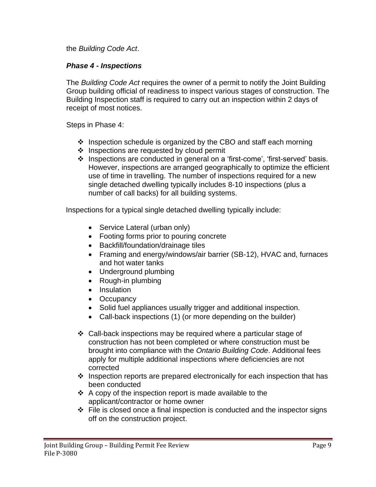the *Building Code Act*.

#### *Phase 4 - Inspections*

The *Building Code Act* requires the owner of a permit to notify the Joint Building Group building official of readiness to inspect various stages of construction. The Building Inspection staff is required to carry out an inspection within 2 days of receipt of most notices.

Steps in Phase 4:

- ❖ Inspection schedule is organized by the CBO and staff each morning
- ❖ Inspections are requested by cloud permit
- ❖ Inspections are conducted in general on a 'first-come', 'first-served' basis. However, inspections are arranged geographically to optimize the efficient use of time in travelling. The number of inspections required for a new single detached dwelling typically includes 8-10 inspections (plus a number of call backs) for all building systems.

Inspections for a typical single detached dwelling typically include:

- Service Lateral (urban only)
- Footing forms prior to pouring concrete
- Backfill/foundation/drainage tiles
- Framing and energy/windows/air barrier (SB-12), HVAC and, furnaces and hot water tanks
- Underground plumbing
- Rough-in plumbing
- Insulation
- Occupancy
- Solid fuel appliances usually trigger and additional inspection.
- Call-back inspections (1) (or more depending on the builder)
- ❖ Call-back inspections may be required where a particular stage of construction has not been completed or where construction must be brought into compliance with the *Ontario Building Code*. Additional fees apply for multiple additional inspections where deficiencies are not corrected
- ❖ Inspection reports are prepared electronically for each inspection that has been conducted
- ❖ A copy of the inspection report is made available to the applicant/contractor or home owner
- ❖ File is closed once a final inspection is conducted and the inspector signs off on the construction project.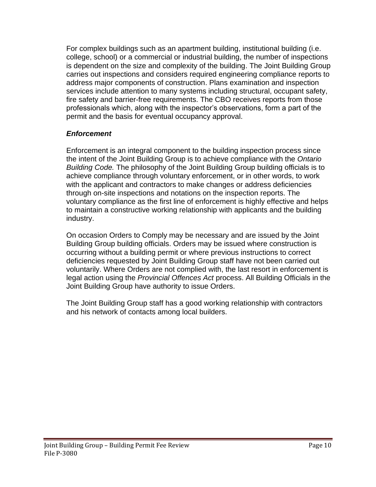For complex buildings such as an apartment building, institutional building (i.e. college, school) or a commercial or industrial building, the number of inspections is dependent on the size and complexity of the building. The Joint Building Group carries out inspections and considers required engineering compliance reports to address major components of construction. Plans examination and inspection services include attention to many systems including structural, occupant safety, fire safety and barrier-free requirements. The CBO receives reports from those professionals which, along with the inspector's observations, form a part of the permit and the basis for eventual occupancy approval.

#### *Enforcement*

Enforcement is an integral component to the building inspection process since the intent of the Joint Building Group is to achieve compliance with the *Ontario Building Code.* The philosophy of the Joint Building Group building officials is to achieve compliance through voluntary enforcement, or in other words, to work with the applicant and contractors to make changes or address deficiencies through on-site inspections and notations on the inspection reports. The voluntary compliance as the first line of enforcement is highly effective and helps to maintain a constructive working relationship with applicants and the building industry.

On occasion Orders to Comply may be necessary and are issued by the Joint Building Group building officials. Orders may be issued where construction is occurring without a building permit or where previous instructions to correct deficiencies requested by Joint Building Group staff have not been carried out voluntarily. Where Orders are not complied with, the last resort in enforcement is legal action using the *Provincial Offences Act* process. All Building Officials in the Joint Building Group have authority to issue Orders.

The Joint Building Group staff has a good working relationship with contractors and his network of contacts among local builders.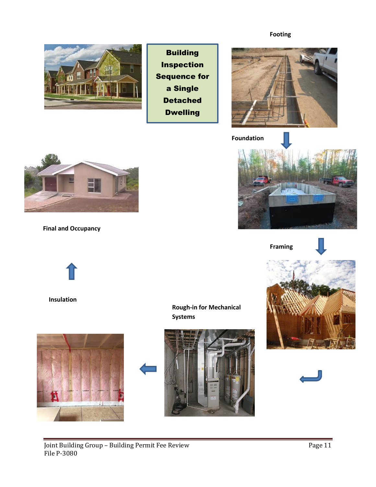#### **Footing**



Building Inspection Sequence for a Single Detached **Dwelling** 





**Framing**







**Final and Occupancy**



**Insulation**





**Rough-in for Mechanical** 

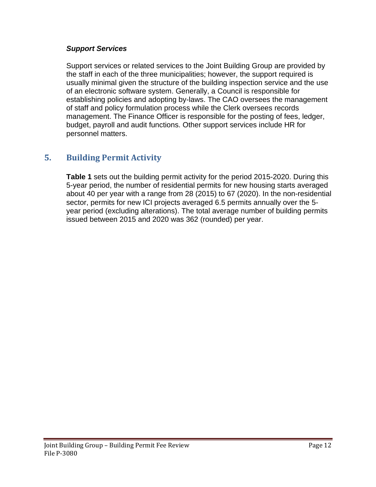#### *Support Services*

Support services or related services to the Joint Building Group are provided by the staff in each of the three municipalities; however, the support required is usually minimal given the structure of the building inspection service and the use of an electronic software system. Generally, a Council is responsible for establishing policies and adopting by-laws. The CAO oversees the management of staff and policy formulation process while the Clerk oversees records management. The Finance Officer is responsible for the posting of fees, ledger, budget, payroll and audit functions. Other support services include HR for personnel matters.

# <span id="page-12-0"></span>**5. Building Permit Activity**

**Table 1** sets out the building permit activity for the period 2015-2020. During this 5-year period, the number of residential permits for new housing starts averaged about 40 per year with a range from 28 (2015) to 67 (2020). In the non-residential sector, permits for new ICI projects averaged 6.5 permits annually over the 5 year period (excluding alterations). The total average number of building permits issued between 2015 and 2020 was 362 (rounded) per year.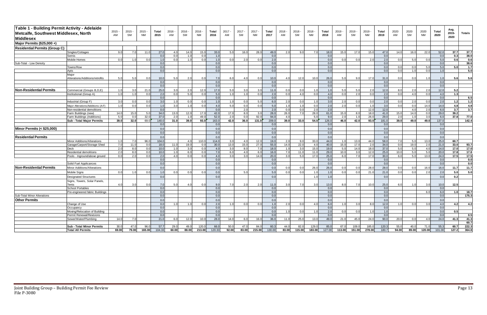| Table 1 - Building Permit Activity - Adelaide |                                                                  |                  |            |                  |             |              |             |             |             |            |                |            |             |                       |                 |                 |                  |          |                  |            |              |                  |            |                | Avg.                    |              |              |
|-----------------------------------------------|------------------------------------------------------------------|------------------|------------|------------------|-------------|--------------|-------------|-------------|-------------|------------|----------------|------------|-------------|-----------------------|-----------------|-----------------|------------------|----------|------------------|------------|--------------|------------------|------------|----------------|-------------------------|--------------|--------------|
| Metcalfe, Southwest Middlesex, North          |                                                                  | $2015 -$         | $2015 -$   | $2015 -$         | Total       | $2016 \cdot$ | $2016 -$    | $2016 -$    | Total       | $2017 -$   | $2017 -$       | $2017 -$   | Total       | $2018 -$              | $2018 -$        | $2018 -$        | Total            | $2019 -$ | $2019 -$         | $2019 -$   | Total        | 2020             | 2020       | 2020           | Total                   | 2015-        | Totals       |
| <b>Middlesex</b>                              |                                                                  | AM               | SM         | <b>NM</b>        | 2015        | AM           | SM          | <b>NM</b>   | 2016        | AM         | <b>SM</b>      | <b>NM</b>  | 2017        | AM                    | SM              | <b>NM</b>       | 2018             | AM       | SM               | <b>NM</b>  | 2019         | AM               | SM         | <b>NM</b>      | 2020                    | 2020         |              |
| Major Permits (\$25,000 +)                    |                                                                  |                  |            |                  |             |              |             |             |             |            |                |            |             |                       |                 |                 |                  |          |                  |            |              |                  |            |                |                         |              |              |
| <b>Residential Permits (Group C)</b>          |                                                                  |                  |            |                  |             |              |             |             |             |            |                |            |             |                       |                 |                 |                  |          |                  |            |              |                  |            |                |                         |              |              |
|                                               |                                                                  |                  |            |                  |             |              |             |             |             |            |                |            |             |                       |                 |                 |                  |          |                  |            |              |                  |            |                |                         |              |              |
|                                               | Singles/Cottages<br>Semis                                        | 9.0              | 7.0        | 11.0             | 27.0<br>0.0 | 4.0<br>0.0   | 14.0<br>1.0 | 15.0<br>0.0 | 33.0<br>1.0 | 5.0        | 16(            | 28.0       | 49.0<br>0.0 | 2.0                   | 9.0             | 7.0             | 18.0<br>0.0      | 15.0     | 17.0             | 15.0       | 47.0<br>0.0  | 14.0             | 16.0       | 22.0           | 52.0<br>0. <sub>C</sub> | 37.7<br>0.3  | 37.7<br>38.0 |
|                                               | Mobile Homes                                                     | 0.0              | 1.0        | 0.0              | 1.0         | 0.0          | 1.0         | 0.0         | 1.0         | 0.0        | 2(             | 0.0        | 2.0         |                       |                 |                 | $\overline{0.0}$ | 0.(      | 0.0              | 2.0        | 2.0          | 0 <sub>0</sub>   | 5.0        | 0.0            | 5.0                     | 0.6          | 0.6          |
| Sub-Total - Low Density                       |                                                                  |                  |            |                  | 0.0         |              |             |             | 0.0         |            |                |            | 0.0         |                       |                 |                 | 0.0              |          |                  |            | 0.0          |                  |            |                | 0.0                     |              | 38.6         |
|                                               | Towns/Row                                                        |                  |            |                  | 0.0         |              |             |             | 0.0         |            |                |            | 0.0         |                       |                 |                 | 0.0              |          |                  |            | 0.0          | 0.0 <sub>l</sub> | 0.0        | 5.0            | 5.0                     | 5.0          | 1.7          |
|                                               | Apts                                                             |                  |            |                  | 0.0         |              |             |             | 0.0         |            |                |            | 0.0         |                       |                 |                 | 0.0              |          |                  |            | 0.0          | 0.0              | 1.0        | 0.0            | 1.0                     |              | 5.0          |
|                                               | Major                                                            |                  |            |                  |             |              |             |             |             |            |                |            |             |                       |                 |                 |                  |          |                  |            |              |                  |            |                |                         |              |              |
|                                               | Alterations/Additions/retrofits                                  | 5(               | 5.0        | 0.0              | 10.0        | 5.0          | 2.0         | 0.0         | 7.0         | 6.0        | 4(             | 0.0        | 10.0        | 4.0                   | 12.0            | 10 <sub>c</sub> | 26.0             | 5(       | 9.0              | 17.0       | 31.0         | 0.0              | 0.0        | 1 <sup>1</sup> | 1.0                     | 5.6          | 5.6          |
|                                               |                                                                  |                  |            |                  | 0.0         |              |             |             | 0.0         |            |                |            | 0.0         |                       |                 |                 | 0.0              |          |                  |            | 0.0          |                  |            |                | 0.0                     |              |              |
|                                               |                                                                  |                  |            |                  | 0.0         |              |             |             | 0.0         |            |                |            | 0.0         |                       |                 |                 | 0.0              |          |                  |            | 0.0          |                  |            |                | 0.(                     |              |              |
| <b>Non-Residential Permits</b>                | Commercial (Groups B,D,E)                                        | 1.0              | 3.0        | 21.0             | 25.0        | 3.0          | 2.0         | 12.0        | 17.0        | 5.0        | 3(             | 3.0        | 11.0        | 0. <sub>C</sub>       | 0. <sub>C</sub> | 1.0             | 1.0              | 5(       | 5.0              | 2.0        | 12.0         | 8.0              | 2.0        | 2.0            | 12.0                    | 5.2          |              |
|                                               | Institutional (Group A)                                          | 1.0              | 1.0        | 0.0              | 2.0         | 0.0          | 5.0         | 0.0         | 5.0         | 1.0        | 1.0            | 0.0        | 2.0         | 0. <sub>C</sub>       | 4.0             | 0.0             | 4.0              | 0.0      | 2.0              | 0.0        | 2.0          | 0.0              | 4.0        | 0.0            | 4 <sub>c</sub>          | 1.3          |              |
|                                               |                                                                  |                  |            |                  | 0.0         |              |             |             | 0.0         |            |                |            | 0.0         |                       |                 |                 | 0.0              |          |                  |            | 0.0          |                  |            |                | 0. <sub>C</sub>         |              | 6.5          |
|                                               | Industrial (Group F)                                             | 3.0<br>1.0       | 0.0<br>0.0 | 0.0<br>0.0       | 3.0<br>1.0  | 1.0<br>3.0   | 0.0<br>1.0  | 0.0<br>0.0  | 1.0         | 1.0<br>5.0 | 0.0            | 5.0<br>0.0 | 6.0<br>5.0  | 2.0<br>1 <sub>c</sub> | 0.0             | 1.0             | 3.0<br>2.0       | 2(       | 0.0<br>0.0       | 0.0<br>1.0 | 2.0<br>3.0   | 0.0<br>0.0       | 2.0        | 0.0            | 2.0                     | $1.2$<br>4.8 | $1.2$<br>4.8 |
|                                               | Major Alterations/Additions (A-F)<br>Non-residential demolitions |                  |            |                  | 0.0         |              |             |             | 4.0<br>0.0  |            | 0.0<br>2.0     |            | 2.0         | 0. <sub>C</sub>       | 0.0             | 0.0<br>2.0      | 2.0              | 2(       |                  | 12.0       | 12.0         |                  | 0.0<br>4.0 | 14.0<br>2.0    | 14.0<br>6.0             | 3.7          | 3.7          |
|                                               | Farm Buildings (new)                                             | 14.0             | 15.0       | 5.0              | 34.0        | 13.0         | 12.0        | 17.0        | 42.0        | 17.0       | 8 <sub>c</sub> | 3.0        | 28.0        | 26C                   | 7.0             | 28.0            | 61.0             | 15.0     | 8.0              | 18.0       | 41.0         | 15.0             | 14.0       | 0.0            | 29(                     | 39.2         |              |
|                                               | Farm Buildings (Additions)                                       | 5.0              | 0.0        | 32.0             | 37.0        | 2.0          | 1.0         | 49.0        | 52.0        | 2.0        | 0.0            | 92.0       | 94.0        | 4.0                   |                 | 5.0             | 9.0              | 2(       | 1.0              | 26.0       | 29.0         | 2.0              | 1.0        | 3.0            | 6(                      | 37.8         | 77.0         |
|                                               | <b>Sub - Total Major Permits</b>                                 | 39.0             | 32.0       | 69.0             | 140.0       | 31.0         | 39.0        | 93.0        | 163.0       | 42.0       | 36.0           | 131.0      | 209.0       | 39.0                  | 33.0            | 54.0            | 126.0            | 46.0     | 42.0             | 93.0       | <b>181.0</b> | 39.0             | 49.0       | 49.0           | 137.                    |              | 142.4        |
|                                               |                                                                  |                  |            |                  | 0.0         |              |             |             | 0.0         |            |                |            | 0.0         |                       |                 |                 | 0.0              |          |                  |            | 0.0          |                  |            |                | 0.0                     |              |              |
| Minor Permits (< \$25,000)                    |                                                                  |                  |            |                  | 0.0         |              |             |             | 0.0         |            |                |            | 0.0         |                       |                 |                 | 0.0              |          |                  |            | 0.0          |                  |            |                | 0.0                     |              |              |
|                                               |                                                                  |                  |            |                  | 0.0         |              |             |             | 0.0         |            |                |            | 0.0         |                       |                 |                 | 0.0              |          |                  |            | 0.0          |                  |            |                | 0.0                     |              |              |
| <b>Residential Permits</b>                    |                                                                  |                  |            |                  | 0.0         |              |             |             | 0.0         |            |                |            | 0.0         |                       |                 |                 | 0.0              |          |                  |            | 0.0          |                  |            |                | 0.0                     |              |              |
|                                               | Minor Additions/Alterations                                      | 1.0              | 7.0        | 96.0             | 104.0       |              | 4.0         | 110.0       | 114.0       | 3.0        | 4.0            | 12.0       | 19.0        | 2.0                   | 9.0             | 33.0            | 44.0             | 1.0      | 13.0             | 44.0       | 58.C         | 7.0              | 5.0        | 13.0           | 25.0                    | 60.7         |              |
|                                               | Garage/Carport/Storage Shed                                      | 7.0              | 11.0       | 0.0              | 18.0        | 11.0         | 19.0        | 0.0         | 30.0        | 13.0       | 15.0           | 27.0       | 55.0        | 14.0                  | 22.0            | 4.0             | 40.0             | 15.0     | 17.0             | 2.0        | 34.0         | 0.0              | 19.0       | 2.0            | 21.                     | 33.0         | 93.7         |
|                                               | Deck                                                             | 2.0              | 8.0        | 0.0 <sub>l</sub> | 10.0        | 1.0          | 3.0         | 0.0         | 4.0         | 3.0        | 8.0            | 7.0        | 18.0        | 1 <sub>c</sub>        | 3.0             | 15.0            | 19.0             | 5.0      | 14.0             | 18.0       | 37.0         | 5.0              | 5.0        | 4.0            | 14.0                    | 17.0         | 17.0         |
|                                               | Residential demolitions                                          | $\overline{2.0}$ | 8.0        | 0.0              | 10.0        | 1.0          | 6.0         | 0.0         | 7.0         | 6.0        | 4(             | 6.0        | 16.0        | 7. <sub>C</sub>       | 11.0            | 11.0            | 29.0             | 10.0     | 3.0              | 12.0       | 25.0         | 10.0             | 5.0        | 5.0            | 20.0                    | 17.8         | 17.8         |
|                                               | Pools - Inground/above ground                                    | 0.0              | 2.0        | 0.0              | 2.0         | 4.0          | 0.0         | 0.0         | 4.0         | 3.0        | 3(             | 14.0       | 20.0        | 3 <sub>c</sub>        | 5.0             | 17.0            | 25.0             | 6(       | $\overline{7.0}$ | 17.0       | 30C          | 6.0              | 5.0        | 13.0           | 24.0                    | 17.5         | 17.5         |
|                                               | Solid Fuel Applicances                                           |                  |            |                  | 0.0<br>0.0  |              |             |             | 0.0<br>0.0  |            |                |            | 0.0<br>0.0  |                       |                 |                 | 0.0<br>0.0       |          |                  |            | 0.0<br>0.0   |                  |            |                | 0. <sub>C</sub><br>0.0  |              | 0.0<br>0.0   |
| Non-Residential Permits                       | <b>Minor Additions/Alterations</b>                               |                  |            |                  | 0.0         |              |             |             | 0.0         |            |                |            | 0.0         | 0. <sub>C</sub>       | 0. <sub>C</sub> | 26.0            | 26.0             |          | 0.0              | 28.0       | 28.0         | 0.0              | 0.0        |                | 16.0                    |              |              |
|                                               |                                                                  |                  |            |                  |             |              |             |             |             |            |                |            |             |                       |                 |                 |                  | 0.(      |                  |            |              |                  |            | 16.0           |                         | 11.7         | 11.7         |
|                                               | Mobile Signs                                                     | 0.0              | 1.0        | 0.0              | 1.0         | 0.0          | 0.0         | 0.0         | 0.0         |            | 5.0            |            | 5.0         | 0. <sub>C</sub>       | 0.0             | 1.0             | 1.0              | 0.0      | 0.0              | 21.0       | 21.0         | 0.0              | 0.0        | 2.0            | 2(                      | 5.0          | 5.0          |
|                                               | <b>Designated Structures</b>                                     |                  |            |                  | 0.0         |              |             |             | 0.0         |            |                |            | 0.0         |                       |                 | 1.0             | 1.0              |          |                  |            | 0.0          |                  |            |                | 0.0                     | 0.2          |              |
|                                               | Signs, Towers, Solar Panels,                                     |                  |            |                  |             |              |             |             |             |            |                |            |             |                       |                 |                 |                  |          |                  |            |              |                  |            |                |                         |              |              |
|                                               | Tents<br><b>School Portables</b>                                 | 4.0              | 3.0        | 0.0              | 7.0<br>0.0  | 5.0          | 4.0         | 0.0         | 9.0<br>0.0  | 7.0        | 2(             | 2.0        | 11.0<br>0.0 | 3 <sub>c</sub>        | 7 <sub>1</sub>  | 3.0             | 13.0<br>0.0      | 8(       | 7.0              | 10.0       | 25.0<br>0.0  | 6.0              | 1.0        | 3.0            | 10.0<br>0.0             | 12.5         |              |
|                                               | Pre-engineered fabric Buildings                                  |                  |            |                  | 0.0         |              |             |             | 0.0         |            |                |            | 0.0         |                       |                 |                 | 0.0              |          |                  |            | 0.0          |                  |            | 6.0            | 6.C                     | 1.0          | 18.7         |
| Sub-Total Minor Alterations                   |                                                                  |                  |            |                  | 0.0         |              |             |             | 0.0         |            |                |            | 0.0         |                       |                 |                 | 0.0              |          |                  |            | 0.0          |                  |            |                | 0.0                     |              | 175.3        |
| ∣Other Permits                                |                                                                  |                  |            |                  | 0.0         |              |             |             | 0.0         |            |                |            | 0.0         |                       |                 |                 | 0.0              |          |                  |            | 0.0          |                  |            |                | 0.0                     |              |              |
|                                               | Change of Use                                                    |                  |            |                  | 0.0         | 1.0          | 1.0         | 0.0         | 2.0         | 1.0        | 0(             | 0.0        | 1.0         | 2.0                   | 0.0             | 4.0             | 6.0              | 1.(      | 3.0              | 8.0        | 12.0         | 1.0              | 0.0        | 3.0            | 4.0                     | 4.2          | 4.2          |
|                                               | Occupancy                                                        |                  |            |                  | 0.0         |              |             |             | 0.0         |            |                |            | 0.0         |                       |                 |                 | 0.0              |          |                  |            | 0.0          |                  |            |                | 0.0                     |              |              |
|                                               | Moving/Relocation of Building                                    |                  |            |                  | 0.0         |              |             |             | 0.0         |            |                |            | 0.0         | 1 <sub>c</sub>        | 0.0             | 1.0             | 2.0              | 0.0      | 0.0              | 1.0        | 1.0          |                  |            |                | 0.0                     | 0.5          |              |
|                                               | <b>Permit Renewal/Revisions</b>                                  |                  |            |                  | 0.0         |              |             |             | 0.0         |            |                |            | 0.0         |                       |                 |                 | 0.0              |          |                  |            | 0.0          |                  |            |                | 0.(                     |              | 0.5          |
|                                               | Sewer/Water/Plumbing                                             | 14.0             | 7.0        |                  | 21.0        | 6.0          | 12.0        | 10.0        | 28.0        | 14.0       | 6.C            | 16.0       | 36.0        | 11.0                  | 25.0            | 13.0            | 49.0             | 21.(     | 45.0             | 24.0       | 90.0         | 20.0             | 0.0        | 4.0            | 24.0                    | 41.3         | 41.3         |
|                                               |                                                                  |                  |            |                  |             |              |             |             |             |            |                |            |             |                       |                 |                 |                  |          |                  |            |              |                  |            |                |                         |              | 60.7         |
|                                               | <b>Sub - Total Minor Permits</b>                                 | 30.0             | 47.0       | 96.0             | 57.7        | 29.0         | 49.0        | 120.0       | 66.C        | 50.0       | 47.0           | 84.0       | 60.3        | 44.0                  | 82.0            | 129.0           | 85.0             | 67.      | 109.0            | 185.0      | 120.3        | 55.0             | 40.0       | 71.0           | 55.3                    | 60.7         | 222.3        |
|                                               | <b>Total All Permits</b>                                         | 69.00            | 79.00      | 165.00           | 104.33      | 60.00        | 88.00       | 213.00      | 120.33      | 92.00      | 83.00          | 215.00     | 130.00      | 83.00                 | 115.00          | 183.00          | 127.00           | 113.00   | 151.00           | 278.00     | 180.7        | 94.00            | 89.00      | 120.00         | 101.00                  | 127.2        | 364.8        |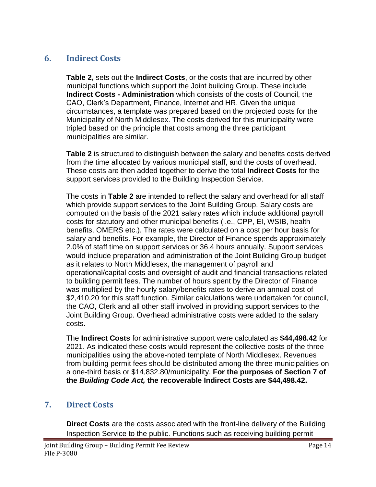# <span id="page-14-0"></span>**6. Indirect Costs**

**Table 2,** sets out the **Indirect Costs**, or the costs that are incurred by other municipal functions which support the Joint building Group. These include **Indirect Costs - Administration** which consists of the costs of Council, the CAO, Clerk's Department, Finance, Internet and HR. Given the unique circumstances, a template was prepared based on the projected costs for the Municipality of North Middlesex. The costs derived for this municipality were tripled based on the principle that costs among the three participant municipalities are similar.

**Table 2** is structured to distinguish between the salary and benefits costs derived from the time allocated by various municipal staff, and the costs of overhead. These costs are then added together to derive the total **Indirect Costs** for the support services provided to the Building Inspection Service.

The costs in **Table 2** are intended to reflect the salary and overhead for all staff which provide support services to the Joint Building Group. Salary costs are computed on the basis of the 2021 salary rates which include additional payroll costs for statutory and other municipal benefits (i.e., CPP, EI, WSIB, health benefits, OMERS etc.). The rates were calculated on a cost per hour basis for salary and benefits. For example, the Director of Finance spends approximately 2.0% of staff time on support services or 36.4 hours annually. Support services would include preparation and administration of the Joint Building Group budget as it relates to North Middlesex, the management of payroll and operational/capital costs and oversight of audit and financial transactions related to building permit fees. The number of hours spent by the Director of Finance was multiplied by the hourly salary/benefits rates to derive an annual cost of \$2,410.20 for this staff function. Similar calculations were undertaken for council, the CAO, Clerk and all other staff involved in providing support services to the Joint Building Group. Overhead administrative costs were added to the salary costs.

The **Indirect Costs** for administrative support were calculated as **\$44,498.42** for 2021. As indicated these costs would represent the collective costs of the three municipalities using the above-noted template of North Middlesex. Revenues from building permit fees should be distributed among the three municipalities on a one-third basis or \$14,832.80/municipality. **For the purposes of Section 7 of the** *Building Code Act,* **the recoverable Indirect Costs are \$44,498.42.**

# <span id="page-14-1"></span>**7. Direct Costs**

**Direct Costs** are the costs associated with the front-line delivery of the Building Inspection Service to the public. Functions such as receiving building permit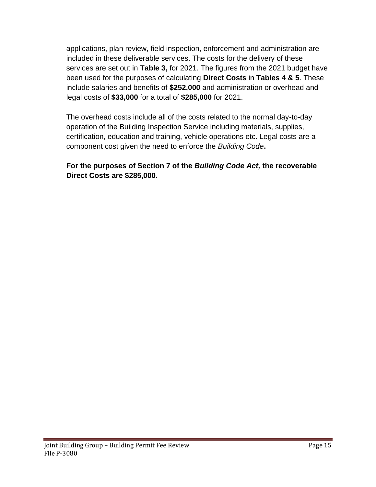applications, plan review, field inspection, enforcement and administration are included in these deliverable services. The costs for the delivery of these services are set out in **Table 3,** for 2021. The figures from the 2021 budget have been used for the purposes of calculating **Direct Costs** in **Tables 4 & 5**. These include salaries and benefits of **\$252,000** and administration or overhead and legal costs of **\$33,000** for a total of **\$285,000** for 2021.

The overhead costs include all of the costs related to the normal day-to-day operation of the Building Inspection Service including materials, supplies, certification, education and training, vehicle operations etc. Legal costs are a component cost given the need to enforce the *Building Code***.**

## **For the purposes of Section 7 of the** *Building Code Act,* **the recoverable Direct Costs are \$285,000.**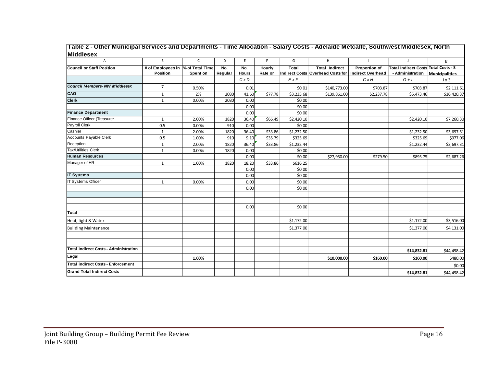| Middlesex                                    |                                                |             |                |                     |                   |                        |                                                            |                                           |                                                          |                       |
|----------------------------------------------|------------------------------------------------|-------------|----------------|---------------------|-------------------|------------------------|------------------------------------------------------------|-------------------------------------------|----------------------------------------------------------|-----------------------|
| A                                            | $\mathsf B$                                    | $\mathsf C$ | D              | E                   | F                 | G                      | H                                                          | $\mathbf{I}$                              | $\mathbf{I}$                                             | К                     |
| <b>Council or Staff Position</b>             | # of Employees in  % of Total Time<br>Position | Spent on    | No.<br>Regular | No.<br><b>Hours</b> | Hourly<br>Rate or | Total                  | <b>Total Indirect</b><br>Indirect Costs Overhead Costs for | Proportion of<br><b>Indirect Overhead</b> | Total Indirect Costs Total Costs - 3<br>- Administration | <b>Municipalities</b> |
|                                              |                                                |             |                | $C \times D$        |                   | $E \times F$           |                                                            | C x H                                     | $G + I$                                                  | $J \times 3$          |
| <b>Council Members- NW Middlesex</b>         | $\overline{7}$                                 | 0.50%       |                | 0.01                |                   | \$0.01                 | \$140,773.00                                               | \$703.87                                  | \$703.87                                                 | \$2,111.61            |
| CAO                                          | $\mathbf{1}$                                   | 2%          | 2080           | 41.60               | \$77.78           | $\overline{$}3,235.68$ | \$139,861.00                                               | \$2,237.78                                | \$5,473.46                                               | \$16,420.37           |
| <b>Clerk</b>                                 | $\mathbf{1}$                                   | 0.00%       | 2080           | 0.00                |                   | \$0.00                 |                                                            |                                           |                                                          |                       |
|                                              |                                                |             |                | 0.00                |                   | \$0.00                 |                                                            |                                           |                                                          |                       |
| <b>Finance Department</b>                    |                                                |             |                | 0.00                |                   | \$0.00                 |                                                            |                                           |                                                          |                       |
| Finance Officer (Treasurer                   | $\mathbf{1}$                                   | 2.00%       | 1820           | 36.40               | \$66.49           | \$2,420.10             |                                                            |                                           | \$2,420.10                                               | \$7,260.30            |
| Payroll Clerk                                | 0.5                                            | 0.00%       | 910            | 0.00                |                   | \$0.00                 |                                                            |                                           |                                                          |                       |
| Cashier                                      | $\mathbf{1}$                                   | 2.00%       | 1820           | 36.40               | \$33.86           | \$1,232.50             |                                                            |                                           | \$1,232.50                                               | \$3,697.51            |
| Accounts Payable Clerk                       | 0.5                                            | 1.00%       | 910            | 9.10                | \$35.79           | \$325.69               |                                                            |                                           | \$325.69                                                 | \$977.06              |
| Reception                                    | $\mathbf{1}$                                   | 2.00%       | 1820           | 36.40               | \$33.86           | \$1,232.44             |                                                            |                                           | \$1,232.44                                               | \$3,697.31            |
| Tax/Utilities Clerk                          | $\mathbf{1}$                                   | 0.00%       | 1820           | 0.00                |                   | \$0.00                 |                                                            |                                           |                                                          |                       |
| <b>Human Resources</b>                       |                                                |             |                | 0.00                |                   | \$0.00                 | \$27,950.00                                                | \$279.50                                  | \$895.75                                                 | \$2,687.26            |
| Manager of HR                                | $\mathbf{1}$                                   | 1.00%       | 1820           | 18.20               | \$33.86           | \$616.25               |                                                            |                                           |                                                          |                       |
| <b>IT Systems</b>                            |                                                |             |                | 0.00                |                   | \$0.00                 |                                                            |                                           |                                                          |                       |
| <b>IT Systems Officer</b>                    |                                                |             |                | 0.00                |                   | \$0.00                 |                                                            |                                           |                                                          |                       |
|                                              | $\mathbf{1}$                                   | 0.00%       |                | 0.00<br>0.00        |                   | \$0.00                 |                                                            |                                           |                                                          |                       |
|                                              |                                                |             |                |                     |                   | \$0.00                 |                                                            |                                           |                                                          |                       |
|                                              |                                                |             |                |                     |                   |                        |                                                            |                                           |                                                          |                       |
|                                              |                                                |             |                | 0.00                |                   | \$0.00                 |                                                            |                                           |                                                          |                       |
| Total                                        |                                                |             |                |                     |                   |                        |                                                            |                                           |                                                          |                       |
| Heat, light & Water                          |                                                |             |                |                     |                   | \$1,172.00             |                                                            |                                           | \$1,172.00                                               | \$3,516.00            |
| <b>Building Maintenance</b>                  |                                                |             |                |                     |                   | \$1,377.00             |                                                            |                                           | \$1,377.00                                               | \$4,131.00            |
|                                              |                                                |             |                |                     |                   |                        |                                                            |                                           |                                                          |                       |
|                                              |                                                |             |                |                     |                   |                        |                                                            |                                           |                                                          |                       |
| <b>Total Indirect Costs - Administration</b> |                                                |             |                |                     |                   |                        |                                                            |                                           | \$14,832.81                                              | \$44,498.42           |
| Legal                                        |                                                | 1.60%       |                |                     |                   |                        | \$10,000.00                                                | \$160.00                                  | \$160.00                                                 | \$480.00              |
| <b>Total indirect Costs - Enforcement</b>    |                                                |             |                |                     |                   |                        |                                                            |                                           |                                                          | \$0.00                |
| <b>Grand Total Indirect Costs</b>            |                                                |             |                |                     |                   |                        |                                                            |                                           | \$14,832.81                                              | \$44,498.42           |

**Table 2 - Other Municipal Services and Departments - Time Allocation - Salary Costs - Adelaide Metcalfe, Southwest Middlesex, North**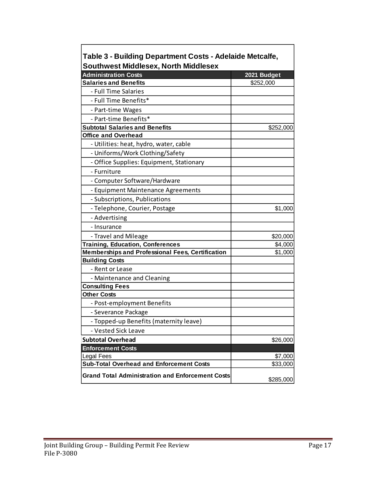| Table 3 - Building Department Costs - Adelaide Metcalfe, |             |
|----------------------------------------------------------|-------------|
| <b>Southwest Middlesex, North Middlesex</b>              |             |
| <b>Administration Costs</b>                              | 2021 Budget |
| <b>Salaries and Benefits</b>                             | \$252,000   |
| - Full Time Salaries                                     |             |
| - Full Time Benefits*                                    |             |
| - Part-time Wages                                        |             |
| - Part-time Benefits*                                    |             |
| <b>Subtotal Salaries and Benefits</b>                    | \$252,000   |
| <b>Office and Overhead</b>                               |             |
| - Utilities: heat, hydro, water, cable                   |             |
| - Uniforms/Work Clothing/Safety                          |             |
| - Office Supplies: Equipment, Stationary                 |             |
| - Furniture                                              |             |
| - Computer Software/Hardware                             |             |
| - Equipment Maintenance Agreements                       |             |
| - Subscriptions, Publications                            |             |
| - Telephone, Courier, Postage                            | \$1,000     |
| - Advertising                                            |             |
| - Insurance                                              |             |
| - Travel and Mileage                                     | \$20,000    |
| <b>Training, Education, Conferences</b>                  | \$4,000     |
| <b>Memberships and Professional Fees, Certification</b>  | \$1,000     |
| <b>Building Costs</b>                                    |             |
| - Rent or Lease                                          |             |
| - Maintenance and Cleaning                               |             |
| <b>Consulting Fees</b>                                   |             |
| <b>Other Costs</b>                                       |             |
| - Post-employment Benefits                               |             |
| - Severance Package                                      |             |
| - Topped-up Benefits (maternity leave)                   |             |
| - Vested Sick Leave                                      |             |
| <b>Subtotal Overhead</b>                                 | \$26,000    |
| <b>Enforcement Costs</b>                                 |             |
| Legal Fees                                               | \$7,000     |
| <b>Sub-Total Overhead and Enforcement Costs</b>          | \$33,000    |
| <b>Grand Total Administration and Enforcement Costs</b>  | \$285,000   |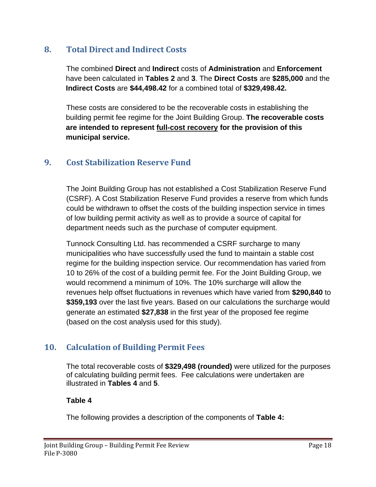# <span id="page-18-0"></span>**8. Total Direct and Indirect Costs**

The combined **Direct** and **Indirect** costs of **Administration** and **Enforcement** have been calculated in **Tables 2** and **3**. The **Direct Costs** are **\$285,000** and the **Indirect Costs** are **\$44,498.42** for a combined total of **\$329,498.42.**

These costs are considered to be the recoverable costs in establishing the building permit fee regime for the Joint Building Group. **The recoverable costs are intended to represent full-cost recovery for the provision of this municipal service.** 

## <span id="page-18-1"></span>**9. Cost Stabilization Reserve Fund**

The Joint Building Group has not established a Cost Stabilization Reserve Fund (CSRF). A Cost Stabilization Reserve Fund provides a reserve from which funds could be withdrawn to offset the costs of the building inspection service in times of low building permit activity as well as to provide a source of capital for department needs such as the purchase of computer equipment.

Tunnock Consulting Ltd. has recommended a CSRF surcharge to many municipalities who have successfully used the fund to maintain a stable cost regime for the building inspection service. Our recommendation has varied from 10 to 26% of the cost of a building permit fee. For the Joint Building Group, we would recommend a minimum of 10%. The 10% surcharge will allow the revenues help offset fluctuations in revenues which have varied from **\$290,840** to **\$359,193** over the last five years. Based on our calculations the surcharge would generate an estimated **\$27,838** in the first year of the proposed fee regime (based on the cost analysis used for this study).

# <span id="page-18-2"></span>**10. Calculation of Building Permit Fees**

The total recoverable costs of **\$329,498 (rounded)** were utilized for the purposes of calculating building permit fees. Fee calculations were undertaken are illustrated in **Tables 4** and **5**.

#### **Table 4**

The following provides a description of the components of **Table 4:**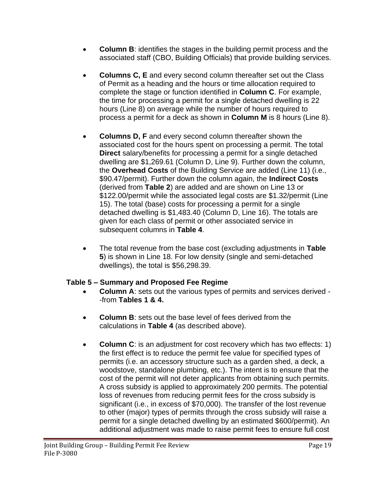- **Column B:** identifies the stages in the building permit process and the associated staff (CBO, Building Officials) that provide building services.
- **Columns C, E** and every second column thereafter set out the Class of Permit as a heading and the hours or time allocation required to complete the stage or function identified in **Column C**. For example, the time for processing a permit for a single detached dwelling is 22 hours (Line 8) on average while the number of hours required to process a permit for a deck as shown in **Column M** is 8 hours (Line 8).
- **Columns D, F** and every second column thereafter shown the associated cost for the hours spent on processing a permit. The total **Direct** salary/benefits for processing a permit for a single detached dwelling are \$1,269.61 (Column D, Line 9). Further down the column, the **Overhead Costs** of the Building Service are added (Line 11) (i.e., \$90.47/permit). Further down the column again, the **Indirect Costs** (derived from **Table 2**) are added and are shown on Line 13 or \$122.00/permit while the associated legal costs are \$1.32/permit (Line 15). The total (base) costs for processing a permit for a single detached dwelling is \$1,483.40 (Column D, Line 16). The totals are given for each class of permit or other associated service in subsequent columns in **Table 4**.
- The total revenue from the base cost (excluding adjustments in **Table 5**) is shown in Line 18. For low density (single and semi-detached dwellings), the total is \$56,298.39.

## **Table 5 – Summary and Proposed Fee Regime**

- **Column A**: sets out the various types of permits and services derived -from **Tables 1 & 4.**
- **Column B**: sets out the base level of fees derived from the calculations in **Table 4** (as described above).
- **Column C**: is an adjustment for cost recovery which has two effects: 1) the first effect is to reduce the permit fee value for specified types of permits (i.e. an accessory structure such as a garden shed, a deck, a woodstove, standalone plumbing, etc.). The intent is to ensure that the cost of the permit will not deter applicants from obtaining such permits. A cross subsidy is applied to approximately 200 permits. The potential loss of revenues from reducing permit fees for the cross subsidy is significant (i.e., in excess of \$70,000). The transfer of the lost revenue to other (major) types of permits through the cross subsidy will raise a permit for a single detached dwelling by an estimated \$600/permit). An additional adjustment was made to raise permit fees to ensure full cost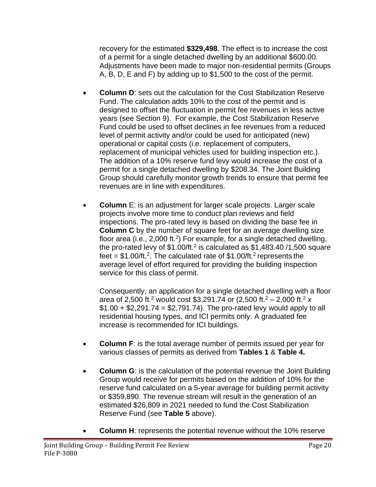recovery for the estimated **\$329,498**. The effect is to increase the cost of a permit for a single detached dwelling by an additional \$600.00. Adjustments have been made to major non-residential permits (Groups A, B, D, E and F) by adding up to \$1,500 to the cost of the permit.

- **Column D**: sets out the calculation for the Cost Stabilization Reserve Fund. The calculation adds 10% to the cost of the permit and is designed to offset the fluctuation in permit fee revenues in less active years (see Section 9). For example, the Cost Stabilization Reserve Fund could be used to offset declines in fee revenues from a reduced level of permit activity and/or could be used for anticipated (new) operational or capital costs (i.e. replacement of computers, replacement of municipal vehicles used for building inspection etc.). The addition of a 10% reserve fund levy would increase the cost of a permit for a single detached dwelling by \$208.34. The Joint Building Group should carefully monitor growth trends to ensure that permit fee revenues are in line with expenditures.
- **Column** E: is an adjustment for larger scale projects. Larger scale projects involve more time to conduct plan reviews and field inspections. The pro-rated levy is based on dividing the base fee in **Column C** by the number of square feet for an average dwelling size floor area (i.e., 2,000 ft.<sup>2</sup>) For example, for a single detached dwelling, the pro-rated levy of \$1.00/ft.<sup>2</sup> is calculated as \$1,483.40 /1,500 square feet =  $$1.00$ /ft.<sup>2</sup>. The calculated rate of  $$1.00$ /ft.<sup>2</sup> represents the average level of effort required for providing the building inspection service for this class of permit.

Consequently, an application for a single detached dwelling with a floor area of 2,500 ft.<sup>2</sup> would cost \$3,291.74 or (2,500 ft.<sup>2</sup> – 2,000 ft.<sup>2</sup> *x*  $$1.00 + $2,291.74 = $2,791.74$ . The pro-rated levy would apply to all residential housing types, and ICI permits only. A graduated fee increase is recommended for ICI buildings.

- **Column F**: is the total average number of permits issued per year for various classes of permits as derived from **Tables 1** & **Table 4.**
- **Column G**: is the calculation of the potential revenue the Joint Building Group would receive for permits based on the addition of 10% for the reserve fund calculated on a 5-year average for building permit activity or \$359,890. The revenue stream will result in the generation of an estimated \$26,809 in 2021 needed to fund the Cost Stabilization Reserve Fund (see **Table 5** above).
- **Column H**: represents the potential revenue without the 10% reserve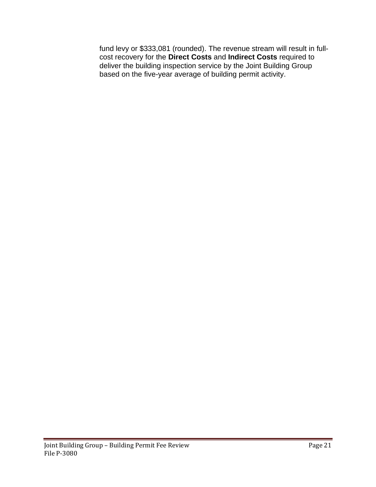fund levy or \$333,081 (rounded). The revenue stream will result in fullcost recovery for the **Direct Costs** and **Indirect Costs** required to deliver the building inspection service by the Joint Building Group based on the five-year average of building permit activity.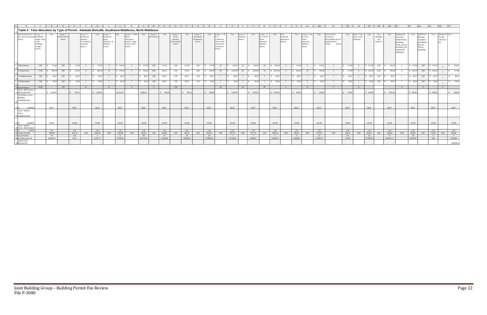| A B C D E F G H I J K L M N O P Q R S T U V W X Y Z AA AB                                                                                 |                      |                                                         |                         |               |                           |                                       |                             |                                    |                                    |                                                                                   |                |                      |                         |                      |                            |                      |                                   |              |                       |                                                                                                                |                              |                                   |                            |                     |                          |                        | AC                                    | AD AE AF AG AH AI     |                           |                                                                         |                         |                         |                               | AJ AK                |                       | AL AM AN           |                       |                       |
|-------------------------------------------------------------------------------------------------------------------------------------------|----------------------|---------------------------------------------------------|-------------------------|---------------|---------------------------|---------------------------------------|-----------------------------|------------------------------------|------------------------------------|-----------------------------------------------------------------------------------|----------------|----------------------|-------------------------|----------------------|----------------------------|----------------------|-----------------------------------|--------------|-----------------------|----------------------------------------------------------------------------------------------------------------|------------------------------|-----------------------------------|----------------------------|---------------------|--------------------------|------------------------|---------------------------------------|-----------------------|---------------------------|-------------------------------------------------------------------------|-------------------------|-------------------------|-------------------------------|----------------------|-----------------------|--------------------|-----------------------|-----------------------|
| Table 4 - Time Allocation by Type of Permit - Adelaide Metcalfe, Southwest Middlesex, North Middlesex<br>Staff Position & Av. # Group 'C' |                      | Cost                                                    | Group 'C'               |               | Group 'C'                 | Cost                                  | Group 'C':                  | Cost                               | Group 'C' Other: Cost              |                                                                                   | Group 'C'      | Cost                 | Group 'C'               | Cost                 | Group 'C'                  |                      | Cost Groups 'A, B, Cost           |              | Group 'F'             | Cost                                                                                                           | Groups 'A,                   | Cost Non-                         |                            |                     | Cost Groups 'A, B,       | Cost                   | Other Permits:                        |                       | Cost Septic Tanks,        | Cost                                                                    | Farm                    | Cost                    | Designated                    | Cost                 | Solid Fuel            |                    | Cost Change of Cost   |                       |
| hrs. spent per function Residential<br>(hours)                                                                                            | singles, semis,      |                                                         | Mobile Homes<br>(hours) |               | Residential<br>Multiple - |                                       | Residential<br><b>Major</b> |                                    | Minor<br>Alterations,              |                                                                                   | Deck (hours)   |                      | Pools,<br>inground,     |                      | Residential<br>Demolitions |                      | D, E'<br>Commercial               |              | Industrial<br>(hours) |                                                                                                                | B, D, E & F'<br><b>Major</b> |                                   | residential<br>demolitions |                     | D, E & F'<br>Minor       |                        | Occupancy,<br>Moving/Relocation of    |                       | sewer, water,<br>plumbing |                                                                         | <b>Buildings</b><br>and |                         | structures<br>(Solar Panels)  |                      | Burning<br>Appliance  |                    | Use (no<br>constructi |                       |
|                                                                                                                                           | 2-unit<br>dwellings, |                                                         |                         |               | Towns/RowA<br>partments   |                                       | alterations &<br>additions  |                                    | retrofit, Garage,<br>Carport, shed |                                                                                   |                |                      | above ground<br>(hours) |                      | (hours)                    |                      | retail, motels,<br>institutional, |              |                       |                                                                                                                | alterations<br>additions     |                                   | (hours)                    |                     | alterations<br>additions |                        | building, Renew<br>Permit,<br>(hours) |                       |                           |                                                                         | Additions               |                         | Retaining<br>Walls, school    |                      | Installation<br>(Wood |                    | on)                   |                       |
|                                                                                                                                           | cottages<br>(hours)  |                                                         |                         |               | (hours)                   |                                       | (hours)                     |                                    | (hours)                            |                                                                                   |                |                      |                         |                      |                            |                      | recreational<br>(hours)           |              |                       |                                                                                                                | (hours)                      |                                   |                            |                     | (hours)                  |                        |                                       |                       |                           |                                                                         |                         |                         | portables, pre-<br>engineered |                      | Stove),<br>plumbing   |                    |                       |                       |
|                                                                                                                                           |                      |                                                         |                         |               |                           |                                       |                             |                                    |                                    |                                                                                   |                |                      |                         |                      |                            |                      |                                   |              |                       |                                                                                                                |                              |                                   |                            |                     |                          |                        |                                       |                       |                           |                                                                         |                         |                         | buildings)                    |                      |                       |                    |                       |                       |
|                                                                                                                                           |                      |                                                         |                         |               |                           |                                       |                             |                                    |                                    |                                                                                   |                |                      |                         |                      |                            |                      |                                   |              |                       |                                                                                                                |                              |                                   |                            |                     |                          |                        |                                       |                       |                           |                                                                         |                         |                         |                               |                      |                       |                    |                       |                       |
| 1.Plan Review                                                                                                                             |                      | 3.00 \$ 175.62 2.00                                     |                         |               | \$ 117.08 3               | \$175.62                              |                             | 4 \ \ \ \ \ \ \ 234.16             | $\overline{2}$                     | \$ 117.08 2.00                                                                    |                | 117.08               | 2.00                    | 117.08               |                            |                      |                                   |              |                       | 2.00 \ \ 8 \ 117.08 \ \ 14 \ \ \ 8 \ 819.56 \ \ 14 \ \ \ 8 \ 819.56 \ \ 14 \ \ \ 8 \ 819.56 \ \ 14 \ \ \ \ \ 8 |                              |                                   |                            |                     | \$ 117.08 3              | \$175.62               | $\overline{\phantom{a}}$              |                       |                           |                                                                         |                         |                         |                               |                      |                       |                    | 4 <sup>1</sup>        | \$234.16              |
| 2. Inspections                                                                                                                            |                      | 17.00   \$ 995.18 3.00                                  |                         | 175.62        | 17                        | 995.18<br>$\overline{\mathbf{s}}$     | 15                          | \$ 878.10                          | 4                                  | $\frac{1}{2}$ 234.16                                                              | 4.00           | 234.16               | 3.00                    | 175.62               |                            | 234.16               | 40                                |              |                       |                                                                                                                |                              |                                   | 4 <sup>1</sup>             | \$234.16            | 10                       | \$ 585.40              | $\overline{2}$                        | 117.08                | 4 <sup>1</sup>            |                                                                         |                         | 702.48                  | 4                             | \$234.16             |                       | 4.00 \ \ \$ 234.16 |                       | \$ 117.08             |
| 3. Administration                                                                                                                         | 1.00                 | $\sim$ $\sim$<br>40.27                                  | 1.00                    |               | 40.27<br>$\overline{1}$   | 40.27                                 | $\frac{1}{2}$               | 40.27<br>$\overline{\phantom{a}}$  | $\frac{1}{2}$                      | 40.27                                                                             | 1.00           | 40.27                | 1.00                    | 40.27                | 1.00                       | $\sqrt{S}$<br>40.27  | $\overline{1}$                    | 40.27        | $1 \quad$ S           | 40.27                                                                                                          | $\frac{1}{2}$                | 40.27<br>$\overline{\phantom{a}}$ | $\overline{1}$             | 40.27               | $\frac{1}{2}$            | $\mathcal{S}$<br>40.27 | $\overline{1}$                        | 40.27                 | $\overline{1}$            | \$ 40.27                                                                | 1.00                    | 40.27                   | <sup>1</sup>                  | \$40.27              | 1.00                  | \$ 40.27           |                       | 40.27<br>$\mathbf{s}$ |
| 4. Enforcement                                                                                                                            |                      | $1.00$ $\begin{vmatrix} 5 & 58.54 & 1.00 \end{vmatrix}$ |                         |               | 58.54<br>$\frac{1}{2}$    | \$ 58.54                              |                             |                                    | $\frac{1}{2}$                      | $\begin{array}{ c c c c c } \hline \text{S} & 58.54 & 1.00 \\ \hline \end{array}$ |                | 58.54                | 1.00                    | 58.54                |                            | 1.00 \$ 58.54        | $\frac{1}{2}$                     | $\sqrt{S}$   | 58.54 1   \$          | 58.54                                                                                                          |                              | $1 \mid S$ 58.54 1                |                            | \$58.54             | 1                        | \$ 58.54               | $\frac{1}{2}$                         | 58.54                 | $\frac{1}{2}$             | $\begin{array}{ c c c c c } \hline s & 58.54 & 1.00 \hline \end{array}$ |                         | 58.54<br>$\overline{1}$ | $\frac{1}{2}$                 | \$58.54              |                       | 1.00   \$ 58.54    |                       | \$ 58.54              |
| 8 Total # Hours                                                                                                                           | 22.00                |                                                         | 7.00                    |               | 22                        |                                       | 21                          |                                    | 8 <sup>1</sup>                     |                                                                                   | 8 <sup>1</sup> |                      | 7.00                    |                      |                            |                      | 56                                |              | 56                    |                                                                                                                | 48                           |                                   | 8 <sup>7</sup>             |                     | 15                       |                        | 6 <sup>6</sup>                        |                       | 8 <sup>7</sup>            |                                                                         |                         |                         | 8 <sup>1</sup>                |                      | 9                     |                    | 8 <sup>7</sup>        |                       |
| Total - Direct Costs -<br>9 Enforcement S's                                                                                               |                      | \$1,269.61                                              |                         | 391.51        |                           | \$1,269.61                            |                             | \$1,211.07                         |                                    | \$450.05                                                                          |                | \$450.05             |                         | 391.51               |                            | \$450.05             |                                   | 3,259.97     |                       | 3,259.97                                                                                                       |                              | \$2,791.65                        |                            | \$450.05            |                          | \$ 859.83              |                                       | \$ 332.97             |                           | \$450.05                                                                |                         | \$1,035.45              |                               | \$450.05             |                       | \$ 508.59          |                       | \$ 450.05             |
| Total Direct Costs<br>Building                                                                                                            |                      |                                                         |                         |               |                           |                                       |                             |                                    |                                    |                                                                                   |                |                      |                         |                      |                            |                      |                                   |              |                       |                                                                                                                |                              |                                   |                            |                     |                          |                        |                                       |                       |                           |                                                                         |                         |                         |                               |                      |                       |                    |                       |                       |
| Administration                                                                                                                            |                      |                                                         |                         |               |                           |                                       |                             |                                    |                                    |                                                                                   |                |                      |                         |                      |                            |                      |                                   |              |                       |                                                                                                                |                              |                                   |                            |                     |                          |                        |                                       |                       |                           |                                                                         |                         |                         |                               |                      |                       |                    |                       |                       |
| 11S<br>33,000,00                                                                                                                          |                      | 90.47                                                   |                         | 90.47         |                           | 90.47                                 |                             | 90.47                              |                                    | 90.47                                                                             |                | 90.47                |                         | 90.47                |                            | 90.47                |                                   | 90.47        |                       | 90.47                                                                                                          |                              | 90.47                             |                            | 90.47               |                          | 90.47                  |                                       | 90.47                 |                           | 90.47                                                                   |                         | 90.47                   |                               | 90.47                |                       | 90.47              |                       | 90.47                 |
| Total - Indirect<br>$Costs -$                                                                                                             |                      |                                                         |                         |               |                           |                                       |                             |                                    |                                    |                                                                                   |                |                      |                         |                      |                            |                      |                                   |              |                       |                                                                                                                |                              |                                   |                            |                     |                          |                        |                                       |                       |                           |                                                                         |                         |                         |                               |                      |                       |                    |                       |                       |
| 12 Administration                                                                                                                         |                      |                                                         |                         |               |                           |                                       |                             |                                    |                                    |                                                                                   |                |                      |                         |                      |                            |                      |                                   |              |                       |                                                                                                                |                              |                                   |                            |                     |                          |                        |                                       |                       |                           |                                                                         |                         |                         |                               |                      |                       |                    |                       |                       |
| 13 \$<br>44,498.42                                                                                                                        |                      | 122.00                                                  |                         | 122.00        |                           | 122.00                                |                             | 122.00                             |                                    | 122.00                                                                            |                | 122.00               |                         | 122.00               |                            | 122.00               |                                   | 122.00       |                       | 122.00                                                                                                         |                              | 122.00                            |                            | 122.00              |                          | 122.00                 |                                       | 122.00                |                           | 122.00                                                                  |                         | 122.00                  |                               | 122.00               |                       | 122.00             |                       | 122.00                |
| Total - Indirect<br>14 Costs - Enforcement                                                                                                |                      | 1.32                                                    |                         | 1.32          |                           | 1.32                                  |                             |                                    |                                    |                                                                                   |                |                      |                         |                      |                            |                      |                                   | 1.32         |                       | 1.32                                                                                                           |                              |                                   |                            |                     |                          | 1.32                   |                                       |                       |                           |                                                                         |                         |                         |                               |                      |                       | 1.32               |                       | 1.32                  |
| 15 \$480.00<br>16 Grand Total \$'s<br>17 Avg# Permits                                                                                     |                      | 1483.40<br>38                                           |                         | 605.30<br>0.6 | 0.00                      | 1483.40<br>$\overline{\phantom{a}}$ 2 | $0.00\,$                    | 1.32<br>1424.86<br>$6\overline{6}$ | $0.00\,$                           | 1.32<br>663.84<br>94                                                              | $0.00\,$       | 1.32<br>663.84<br>17 | 0.00                    | 1.32<br>605.30<br>18 | 0.00                       | 1.32<br>663.84<br>18 | 0.00                              | 3473.76<br>7 | 0.00                  | 3473.76<br>$\sim$ 1                                                                                            | 0.00                         | 1.32<br>3005.44<br>$5^{\circ}$    | 0.00                       | 1.32<br>663.84<br>4 | $0.00\,$                 | 1073.62<br>12          | $0.00\,$                              | 1.32<br>546.76<br>0.5 | $0.00\,$                  | 1.32<br>663.84<br>41                                                    | $0.00\,$                | 1.32<br>1249.24<br>77   | $0.00\,$                      | 1.32<br>663.84<br>19 | $0.00\,$              | 722.38<br>$\sim 0$ | $0.00\,$              | 663.84<br>4           |
| 18 Total Revenue \$'s<br><b>Grand Total</b>                                                                                               |                      | 56,298.39                                               |                         | 378.31        |                           | 2,521.77                              |                             | 7,979.19                           |                                    | 62,179.26                                                                         |                | 11,285.20            |                         | 10,592.67            |                            | 11,838.40            |                                   | 22,718.36    |                       | 4,168.51                                                                                                       |                              | 14,526.27                         |                            | 2,434.06            |                          | 12,525.51              |                                       | 273.38                |                           | 27,438.53                                                               |                         | 96,191.13               |                               | 12,391.60            |                       | 0.00               |                       | 2,765.98              |
| 19 Revenue \$'s                                                                                                                           |                      |                                                         |                         |               |                           |                                       |                             |                                    |                                    |                                                                                   |                |                      |                         |                      |                            |                      |                                   |              |                       |                                                                                                                |                              |                                   |                            |                     |                          |                        |                                       |                       |                           |                                                                         |                         |                         |                               |                      |                       |                    |                       | 358,506.54            |
|                                                                                                                                           |                      |                                                         |                         |               |                           |                                       |                             |                                    |                                    |                                                                                   |                |                      |                         |                      |                            |                      |                                   |              |                       |                                                                                                                |                              |                                   |                            |                     |                          |                        |                                       |                       |                           |                                                                         |                         |                         |                               |                      |                       |                    |                       |                       |
| Joint Building Group – Building Permit Fee Review<br>File P-3080                                                                          |                      |                                                         |                         |               |                           |                                       |                             |                                    |                                    |                                                                                   |                |                      |                         |                      |                            |                      |                                   |              |                       |                                                                                                                |                              |                                   |                            |                     |                          |                        |                                       |                       |                           |                                                                         |                         |                         |                               |                      |                       |                    |                       |                       |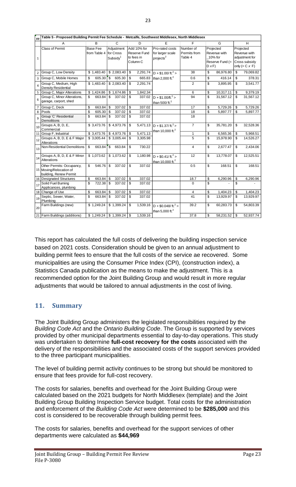| ##             | Table 5 - Proposed Building Permit Fee Schedule - Metcalfe, Southwest Middlesex, North Middlesex |                                                                                    |                        |                |                                                                  |                                      |                                                                  |                                                                                        |
|----------------|--------------------------------------------------------------------------------------------------|------------------------------------------------------------------------------------|------------------------|----------------|------------------------------------------------------------------|--------------------------------------|------------------------------------------------------------------|----------------------------------------------------------------------------------------|
|                | А                                                                                                | B                                                                                  | $\mathsf{C}$           | D              | F                                                                | E.                                   | G                                                                | H                                                                                      |
| 1              | <b>Class of Permit</b>                                                                           | <b>Base Fee</b><br>Adjustment<br>from Table 4<br>for Cross<br>Subsidv <sup>1</sup> |                        |                | Pro-rated costs<br>for larger scale<br>projects <sup>2</sup>     | Number of<br>Permits from<br>Table 4 | Projected<br>Revenue with<br>10% for<br>Reserve Fund (=<br>D x F | Projected<br>Revenue with<br>adjustment for<br>Cross subsidy<br>only (= $C \times F$ ) |
| $\overline{2}$ | Group C, Low Density                                                                             | \$1,483.40                                                                         | \$2,083.40             | \$<br>2,291.74 | $D + $1.00/ft^2$                                                 | 38                                   | \$<br>86,976.80                                                  | \$<br>79,069.82                                                                        |
| $\overline{3}$ | Group C, Mobile Homes                                                                            | 605.30<br>\$                                                                       | 605.30<br>'\$          | 665.83<br>\$   | than 2,000 ft. $^2$                                              | 0.6                                  | 416.14<br>\$                                                     | 378.31<br>\$                                                                           |
| 4              | Group C, Medium, High<br><b>Density Residential</b>                                              | \$1,483.40                                                                         | \$2,083.40             | \$<br>2,291.74 |                                                                  | $\overline{2}$                       | \$<br>3,895.95                                                   | \$<br>3,541.77                                                                         |
| 5              | Group C, Major Alterations                                                                       | \$1,424.86                                                                         | \$1,674.86             | \$<br>1,842.34 |                                                                  | 6                                    | \$<br>10,317.11                                                  | \$<br>9,379.19                                                                         |
| 6              | Group C, Minor Alterations,<br>garage, carport, shed                                             | \$<br>663.84                                                                       | \$<br>337.02           | \$<br>337.02   | $D + $1.00/ft^2$<br>than 500/ft. $^2$                            | 94                                   | \$<br>31,567.12                                                  | \$<br>31,567.12                                                                        |
| 7              | Group C, Deck                                                                                    | 663.84<br>\$                                                                       | 337.02<br>-\$          | 337.02<br>\$   |                                                                  | 17                                   | \$<br>5,729.26                                                   | 5,729.26<br>\$                                                                         |
| 8              | Pools                                                                                            | \$<br>$605.30$ \ \$                                                                | 337.02                 | \$<br>337.02   |                                                                  | 18                                   | \$<br>5,897.77                                                   | \$<br>5,897.77                                                                         |
| 9              | Group 'C' Residential<br>Demolitions                                                             | \$<br>663.84                                                                       | \$<br>337.02           | \$<br>337.02   |                                                                  | 18                                   |                                                                  |                                                                                        |
| 10             | Groups A, B, D, E,<br>Commercial                                                                 | \$3,473.76                                                                         | \$4,973.76             | \$<br>5,471.13 | $D + $1.37 /$ ft. <sup>2</sup> ><br>than 10,000 ft. $^{2}$       | $\overline{7}$                       | \$<br>35,781.20                                                  | \$<br>32,528.36                                                                        |
|                | 11 Group F, Industrial                                                                           | \$3,473.76                                                                         | \$4,973.76             | 5,471.13<br>\$ |                                                                  | $\mathbf{1}$                         | \$<br>6,565.36                                                   | \$<br>5,968.51                                                                         |
| 12             | Groups A, B, D, E & F Major<br>Alterations                                                       | \$ 3.005.44                                                                        | \$ 3.005.44            | \$<br>3.305.98 |                                                                  | 5                                    | \$<br>15,978.90                                                  | \$<br>14,526.27                                                                        |
| 13             | Non-Residential Demolitions                                                                      | \$<br>663.84                                                                       | 663.84<br>$\mathbf{s}$ | \$<br>730.22   |                                                                  | 4                                    | \$<br>2,677.47                                                   | \$<br>2,434.06                                                                         |
| 14             | Groups A, B, D, E & F Minor<br>Alterations                                                       | \$1,073.62                                                                         | \$1,073.62             | \$<br>1,180.98 | $D + $0.41/ft.2$<br>than 10,000 ft. <sup>2</sup>                 | 12                                   | \$<br>13,778.07                                                  | \$<br>12,525.51                                                                        |
|                | Other Permits: Occupancy,<br>15 Moving/Relocation of<br>building, Renew Permit                   | \$<br>546.76                                                                       | \$<br>337.02           | \$<br>337.02   |                                                                  | 0.5                                  | \$<br>168.51                                                     | \$<br>168.51                                                                           |
|                | 16 Designated Structures                                                                         | \$<br>663.84                                                                       | \$<br>337.02           | \$<br>337.02   |                                                                  | 18.7                                 | \$<br>6,290.96                                                   | \$<br>6,290.96                                                                         |
| 17             | Solid Fuel Burning<br>Applicances, plumbing                                                      | \$<br>722.38                                                                       | \$<br>337.02           | \$<br>337.02   |                                                                  | $\Omega$                             | $\overline{\mathbf{s}}$                                          | \$                                                                                     |
|                | 18 Change of Use                                                                                 | \$<br>663.84                                                                       | -\$<br>337.02          | \$<br>337.02   |                                                                  | 4                                    | \$<br>1,404.23                                                   | \$<br>1,404.23                                                                         |
| 19             | Septic, Sewer, Water,<br>Plumbina                                                                | $\overline{\mathbb{S}}$<br>663.84                                                  | \$<br>337.02           | \$<br>337.02   |                                                                  | 41                                   | $\overline{\mathbb{S}}$<br>13,929.97                             | $\overline{\mathcal{S}}$<br>13,929.97                                                  |
| 20             | Farm Buildings (new)                                                                             | \$1,249.24                                                                         | \$1,399.24             | \$<br>1,539.16 | $D + $0.048 /$ ft. <sup>2</sup> ><br>than 5,000 ft. <sup>2</sup> | 39.2                                 | \$<br>60,283.73                                                  | \$<br>54,803.39                                                                        |
|                | 21 Farm Buildings (additions)                                                                    | \$1,249.24                                                                         | \$1,399.24             | 1,539.16<br>\$ |                                                                  | 37.8                                 | \$<br>58,231.52                                                  | \$<br>52,937.74                                                                        |

<span id="page-23-0"></span>This report has calculated the full costs of delivering the building inspection service based on 2021 costs. Consideration should be given to an annual adjustment to building permit fees to ensure that the full costs of the service ae recovered. Some municipalities are using the Consumer Price Index (CPI), (construction index), a Statistics Canada publication as the means to make the adjustment. This is a recommended option for the Joint Building Group and would result in more regular adjustments that would be tailored to annual adjustments in the cost of living.

# **11. Summary**

The Joint Building Group administers the legislated responsibilities required by the *Building Code Act* and the *Ontario Building Code*. The Group is supported by services provided by other municipal departments essential to day-to-day operations. This study was undertaken to determine **full-cost recovery for the costs** associated with the delivery of the responsibilities and the associated costs of the support services provided to the three participant municipalities.

The level of building permit activity continues to be strong but should be monitored to ensure that fees provide for full-cost recovery.

The costs for salaries, benefits and overhead for the Joint Building Group were calculated based on the 2021 budgets for North Middlesex (template) and the Joint Building Group Building Inspection Service budget. Total costs for the administration and enforcement of the *Building Code Act* were determined to be **\$285,000** and this cost is considered to be recoverable through building permit fees.

The costs for salaries, benefits and overhead for the support services of other departments were calculated as **\$44,969**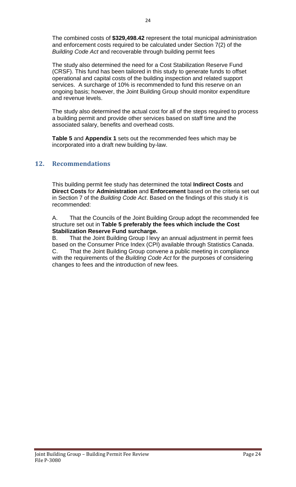<span id="page-24-0"></span>The study also determined the need for a Cost Stabilization Reserve Fund (CRSF). This fund has been tailored in this study to generate funds to offset operational and capital costs of the building inspection and related support services. A surcharge of 10% is recommended to fund this reserve on an ongoing basis; however, the Joint Building Group should monitor expenditure and revenue levels.

The study also determined the actual cost for all of the steps required to process a building permit and provide other services based on staff time and the associated salary, benefits and overhead costs.

**Table 5** and **Appendix 1** sets out the recommended fees which may be incorporated into a draft new building by-law.

# **12. Recommendations**

This building permit fee study has determined the total **Indirect Costs** and **Direct Costs** for **Administration** and **Enforcement** based on the criteria set out in Section 7 of the *Building Code Act*. Based on the findings of this study it is recommended:

A. That the Councils of the Joint Building Group adopt the recommended fee structure set out in **Table 5 preferably the fees which include the Cost Stabilization Reserve Fund surcharge.**

B. That the Joint Building Group l levy an annual adjustment in permit fees based on the Consumer Price Index (CPI) available through Statistics Canada. C. That the Joint Building Group convene a public meeting in compliance with the requirements of the *Building Code Act* for the purposes of considering changes to fees and the introduction of new fees.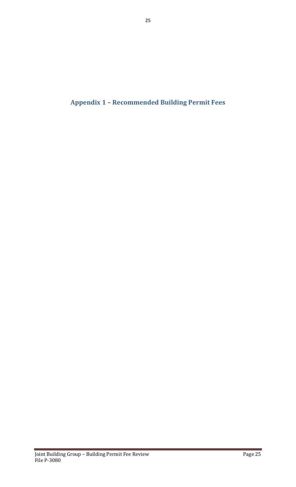<span id="page-25-0"></span>**Appendix 1 – Recommended Building Permit Fees**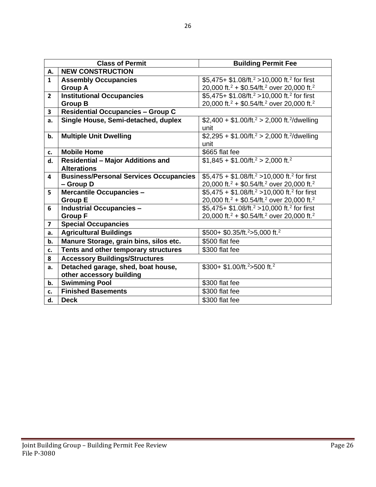|                | <b>Class of Permit</b>                        | <b>Building Permit Fee</b>                                                     |
|----------------|-----------------------------------------------|--------------------------------------------------------------------------------|
| Α.             | <b>NEW CONSTRUCTION</b>                       |                                                                                |
| $\mathbf{1}$   | <b>Assembly Occupancies</b>                   | \$5,475+ \$1.08/ft. <sup>2</sup> > 10,000 ft. <sup>2</sup> for first           |
|                | <b>Group A</b>                                | 20,000 ft. <sup>2</sup> + \$0.54/ft. <sup>2</sup> over 20,000 ft. <sup>2</sup> |
| $\overline{2}$ | <b>Institutional Occupancies</b>              | \$5,475+ \$1.08/ft. <sup>2</sup> > 10,000 ft. <sup>2</sup> for first           |
|                | <b>Group B</b>                                | 20,000 ft. <sup>2</sup> + \$0.54/ft. <sup>2</sup> over 20,000 ft. <sup>2</sup> |
| 3              | <b>Residential Occupancies - Group C</b>      |                                                                                |
| a.             | Single House, Semi-detached, duplex           | \$2,400 + \$1.00/ft. <sup>2</sup> > 2,000 ft. <sup>2</sup> /dwelling           |
|                |                                               | unit                                                                           |
| b.             | <b>Multiple Unit Dwelling</b>                 | \$2,295 + \$1.00/ft. <sup>2</sup> > 2,000 ft. <sup>2</sup> /dwelling           |
|                |                                               | unit                                                                           |
| c.             | <b>Mobile Home</b>                            | \$665 flat fee                                                                 |
| d.             | <b>Residential - Major Additions and</b>      | $$1,845 + $1.00$ /ft. <sup>2</sup> > 2,000 ft. <sup>2</sup>                    |
|                | <b>Alterations</b>                            |                                                                                |
| 4              | <b>Business/Personal Services Occupancies</b> | \$5,475 + \$1.08/ft. <sup>2</sup> > 10,000 ft. <sup>2</sup> for first          |
|                | - Group D                                     | 20,000 ft. <sup>2</sup> + \$0.54/ft. <sup>2</sup> over 20,000 ft. <sup>2</sup> |
| 5              | <b>Mercantile Occupancies -</b>               | \$5,475 + \$1.08/ft. <sup>2</sup> > 10,000 ft. <sup>2</sup> for first          |
|                | <b>Group E</b>                                | 20,000 ft. <sup>2</sup> + \$0.54/ft. <sup>2</sup> over 20,000 ft. <sup>2</sup> |
| 6              | <b>Industrial Occupancies -</b>               | \$5,475+ \$1.08/ft. <sup>2</sup> > 10,000 ft. <sup>2</sup> for first           |
|                | <b>Group F</b>                                | 20,000 ft. <sup>2</sup> + \$0.54/ft. <sup>2</sup> over 20,000 ft. <sup>2</sup> |
| 7              | <b>Special Occupancies</b>                    |                                                                                |
| a.             | <b>Agricultural Buildings</b>                 | \$500+ \$0.35/ft. <sup>2</sup> >5,000 ft. <sup>2</sup>                         |
| b.             | Manure Storage, grain bins, silos etc.        | \$500 flat fee                                                                 |
| c.             | Tents and other temporary structures          | \$300 flat fee                                                                 |
| 8              | <b>Accessory Buildings/Structures</b>         |                                                                                |
| a.             | Detached garage, shed, boat house,            | \$300+ \$1.00/ft. <sup>2</sup> >500 ft. <sup>2</sup>                           |
|                | other accessory building                      |                                                                                |
| b.             | <b>Swimming Pool</b>                          | \$300 flat fee                                                                 |
| c.             | <b>Finished Basements</b>                     | \$300 flat fee                                                                 |
| d.             | <b>Deck</b>                                   | \$300 flat fee                                                                 |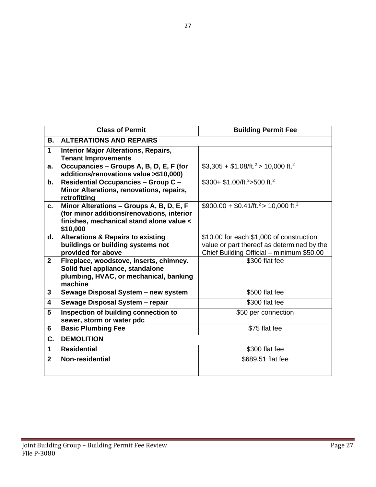|                | <b>Class of Permit</b>                                                                                                                         | <b>Building Permit Fee</b>                                                                                                          |
|----------------|------------------------------------------------------------------------------------------------------------------------------------------------|-------------------------------------------------------------------------------------------------------------------------------------|
| В.             | <b>ALTERATIONS AND REPAIRS</b>                                                                                                                 |                                                                                                                                     |
| $\mathbf{1}$   | <b>Interior Major Alterations, Repairs,</b><br><b>Tenant Improvements</b>                                                                      |                                                                                                                                     |
| a.             | Occupancies - Groups A, B, D, E, F (for<br>additions/renovations value >\$10,000)                                                              | $$3,305 + $1.08/\text{ft}^2 > 10,000 \text{ ft}^2$                                                                                  |
| b.             | <b>Residential Occupancies - Group C -</b><br>Minor Alterations, renovations, repairs,<br>retrofitting                                         | \$300+ \$1.00/ft. <sup>2</sup> >500 ft. <sup>2</sup>                                                                                |
| $c_{-}$        | Minor Alterations - Groups A, B, D, E, F<br>(for minor additions/renovations, interior<br>finishes, mechanical stand alone value <<br>\$10,000 | \$900.00 + \$0.41/ft. <sup>2</sup> > 10,000 ft. <sup>2</sup>                                                                        |
| d.             | <b>Alterations &amp; Repairs to existing</b><br>buildings or building systems not<br>provided for above                                        | \$10.00 for each \$1,000 of construction<br>value or part thereof as determined by the<br>Chief Building Official - minimum \$50.00 |
| $\overline{2}$ | Fireplace, woodstove, inserts, chimney.<br>Solid fuel appliance, standalone<br>plumbing, HVAC, or mechanical, banking<br>machine               | \$300 flat fee                                                                                                                      |
| 3              | Sewage Disposal System - new system                                                                                                            | \$500 flat fee                                                                                                                      |
| 4              | Sewage Disposal System - repair                                                                                                                | \$300 flat fee                                                                                                                      |
| 5              | Inspection of building connection to<br>sewer, storm or water pdc                                                                              | \$50 per connection                                                                                                                 |
| 6              | <b>Basic Plumbing Fee</b>                                                                                                                      | \$75 flat fee                                                                                                                       |
| C.             | <b>DEMOLITION</b>                                                                                                                              |                                                                                                                                     |
| 1              | <b>Residential</b>                                                                                                                             | \$300 flat fee                                                                                                                      |
| $\overline{2}$ | Non-residential                                                                                                                                | \$689.51 flat fee                                                                                                                   |
|                |                                                                                                                                                |                                                                                                                                     |